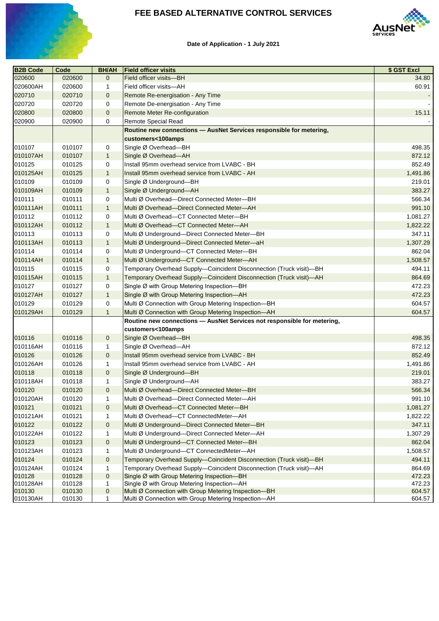

### **FEE BASED ALTERNATIVE CONTROL SERVICES**



### **Date of Application - 1 July 2021**

| <b>B2B Code</b> | Code   | <b>BH/AH</b>   | <b>Field officer visits</b>                                             | \$ GST Excl |
|-----------------|--------|----------------|-------------------------------------------------------------------------|-------------|
| 020600          | 020600 | $\overline{0}$ | Field officer visits-BH                                                 | 34.80       |
| 020600AH        | 020600 | 1              | Field officer visits-AH                                                 | 60.91       |
| 020710          | 020710 | $\mathbf 0$    | Remote Re-energisation - Any Time                                       |             |
| 020720          | 020720 | 0              | Remote De-energisation - Any Time                                       |             |
| 020800          | 020800 | $\mathbf 0$    | <b>Remote Meter Re-configuration</b>                                    | 15.11       |
| 020900          | 020900 | 0              | Remote Special Read                                                     |             |
|                 |        |                | Routine new connections - AusNet Services responsible for metering,     |             |
|                 |        |                | customers<100amps                                                       |             |
| 010107          | 010107 | 0              | Single Ø Overhead-BH                                                    | 498.35      |
| 010107AH        | 010107 | $\mathbf 1$    | Single Ø Overhead-AH                                                    | 872.12      |
| 010125          | 010125 | 0              | Install 95mm overhead service from LVABC - BH                           | 852.49      |
| 010125AH        | 010125 | $\mathbf 1$    | Install 95mm overhead service from LVABC - AH                           | 1,491.86    |
| 010109          | 010109 | 0              | Single Ø Underground-BH                                                 | 219.01      |
| 010109AH        | 010109 | 1              | Single Ø Underground-AH                                                 | 383.27      |
| 010111          | 010111 | 0              | Multi Ø Overhead-Direct Connected Meter-BH                              | 566.34      |
| 010111AH        | 010111 | $\mathbf{1}$   | Multi Ø Overhead-Direct Connected Meter-AH                              | 991.10      |
| 010112          | 010112 | $\mathbf 0$    | Multi Ø Overhead-CT Connected Meter-BH                                  | 1,081.27    |
| 010112AH        | 010112 | $\mathbf{1}$   | Multi Ø Overhead-CT Connected Meter-AH                                  | 1,822.22    |
| 010113          | 010113 | 0              | Multi Ø Underground-Direct Connected Meter-BH                           | 347.11      |
| 010113AH        | 010113 | $\mathbf{1}$   | Multi Ø Underground-Direct Connected Meter-aH                           | 1,307.29    |
| 010114          | 010114 | 0              | Multi Ø Underground-CT Connected Meter-BH                               | 862.04      |
| 010114AH        | 010114 | $\mathbf{1}$   | Multi Ø Underground-CT Connected Meter-AH                               | 1,508.57    |
| 010115          | 010115 | 0              | Temporary Overhead Supply-Coincident Disconnection (Truck visit)-BH     | 494.11      |
| 010115AH        | 010115 | $\mathbf{1}$   | Temporary Overhead Supply-Coincident Disconnection (Truck visit)-AH     | 864.69      |
| 010127          | 010127 | 0              | Single Ø with Group Metering Inspection-BH                              | 472.23      |
| 010127AH        | 010127 | $\mathbf 1$    | Single Ø with Group Metering Inspection-AH                              | 472.23      |
| 010129          | 010129 | 0              | Multi Ø Connection with Group Metering Inspection-BH                    | 604.57      |
| 010129AH        | 010129 | $\mathbf{1}$   | Multi Ø Connection with Group Metering Inspection-AH                    | 604.57      |
|                 |        |                | Routine new connections - AusNet Services not responsible for metering, |             |
|                 |        |                | customers<100amps                                                       |             |
| 010116          | 010116 | $\overline{0}$ | Single Ø Overhead-BH                                                    | 498.35      |
| 010116AH        | 010116 | 1              | Single Ø Overhead-AH                                                    | 872.12      |
| 010126          | 010126 | $\mathbf{0}$   | Install 95mm overhead service from LVABC - BH                           | 852.49      |
| 010126AH        | 010126 |                | Install 95mm overhead service from LVABC - AH                           | 1,491.86    |
| 010118          | 010118 | $\overline{0}$ | Single Ø Underground-BH                                                 | 219.01      |
| 010118AH        | 010118 |                | Single Ø Underground-AH                                                 | 383.27      |
| 010120          | 010120 | $\overline{0}$ | Multi Ø Overhead-Direct Connected Meter-BH                              | 566.34      |
| 010120AH        | 010120 | 1              | Multi Ø Overhead-Direct Connected Meter-AH                              | 991.10      |
| 010121          | 010121 | $\overline{0}$ | Multi Ø Overhead-CT Connected Meter-BH                                  | 1,081.27    |
| 010121AH        | 010121 | 1              | Multi Ø Overhead-CT ConnectedMeter-AH                                   | 1,822.22    |
| 010122          | 010122 | $\mathbf 0$    | Multi Ø Underground-Direct Connected Meter-BH                           | 347.11      |
| 010122AH        | 010122 | 1              | Multi Ø Underground-Direct Connected Meter-AH                           | 1,307.29    |
| 010123          | 010123 | $\overline{0}$ | Multi Ø Underground-CT Connected Meter-BH                               | 862.04      |
| 010123AH        | 010123 | 1              | Multi Ø Underground-CT ConnectedMeter-AH                                | 1,508.57    |
| 010124          | 010124 | $\mathbf{0}$   | Temporary Overhead Supply-Coincident Disconnection (Truck visit)-BH     | 494.11      |
| 010124AH        | 010124 | 1              | Temporary Overhead Supply-Coincident Disconnection (Truck visit)-AH     | 864.69      |
| 010128          | 010128 | $\mathbf{0}$   | Single Ø with Group Metering Inspection-BH                              | 472.23      |
| 010128AH        | 010128 |                | Single Ø with Group Metering Inspection-AH                              | 472.23      |
| 010130          | 010130 | $\mathbf{0}$   | Multi Ø Connection with Group Metering Inspection-BH                    | 604.57      |
| 010130AH        | 010130 | $\mathbf 1$    | Multi Ø Connection with Group Metering Inspection-AH                    | 604.57      |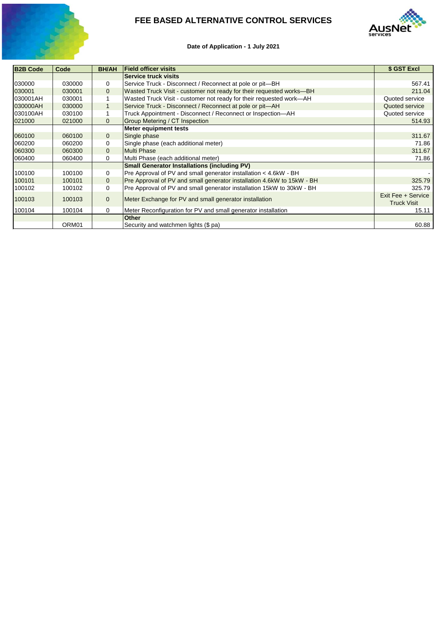

# **FEE BASED ALTERNATIVE CONTROL SERVICES**



### **Date of Application - 1 July 2021**

| <b>B2B Code</b> | Code   | <b>BH/AH</b>   | <b>Field officer visits</b>                                            | \$ GST Excl                              |
|-----------------|--------|----------------|------------------------------------------------------------------------|------------------------------------------|
|                 |        |                | <b>Service truck visits</b>                                            |                                          |
| 030000          | 030000 | 0              | Service Truck - Disconnect / Reconnect at pole or pit-BH               | 567.41                                   |
| 030001          | 030001 | $\mathbf{0}$   | Wasted Truck Visit - customer not ready for their requested works-BH   | 211.04                                   |
| 030001AH        | 030001 |                | Wasted Truck Visit - customer not ready for their requested work-AH    | Quoted service                           |
| 030000AH        | 030000 |                | Service Truck - Disconnect / Reconnect at pole or pit-AH               | Quoted service                           |
| 030100AH        | 030100 |                | Truck Appointment - Disconnect / Reconnect or Inspection-AH            | Quoted service                           |
| 021000          | 021000 | $\mathbf{0}$   | <b>Group Metering / CT Inspection</b>                                  | 514.93                                   |
|                 |        |                | <b>Meter equipment tests</b>                                           |                                          |
| 060100          | 060100 | $\mathbf{0}$   | Single phase                                                           | 311.67                                   |
| 060200          | 060200 | $\mathbf 0$    | Single phase (each additional meter)                                   | 71.86                                    |
| 060300          | 060300 | $\overline{0}$ | <b>Multi Phase</b>                                                     | 311.67                                   |
| 060400          | 060400 | $\mathbf 0$    | Multi Phase (each additional meter)                                    | 71.86                                    |
|                 |        |                | <b>Small Generator Installations (including PV)</b>                    |                                          |
| 100100          | 100100 | 0              | Pre Approval of PV and small generator installation < 4.6kW - BH       |                                          |
| 100101          | 100101 | $\overline{0}$ | Pre Approval of PV and small generator installation 4.6kW to 15kW - BH | 325.79                                   |
| 100102          | 100102 | 0              | Pre Approval of PV and small generator installation 15kW to 30kW - BH  | 325.79                                   |
| 100103          | 100103 | $\overline{0}$ | Meter Exchange for PV and small generator installation                 | Exit Fee + Service<br><b>Truck Visit</b> |
| 100104          | 100104 | $\overline{0}$ | Meter Reconfiguration for PV and small generator installation          | 15.11                                    |
|                 |        |                | <b>Other</b>                                                           |                                          |
|                 | ORM01  |                | Security and watchmen lights (\$ pa)                                   | 60.88                                    |